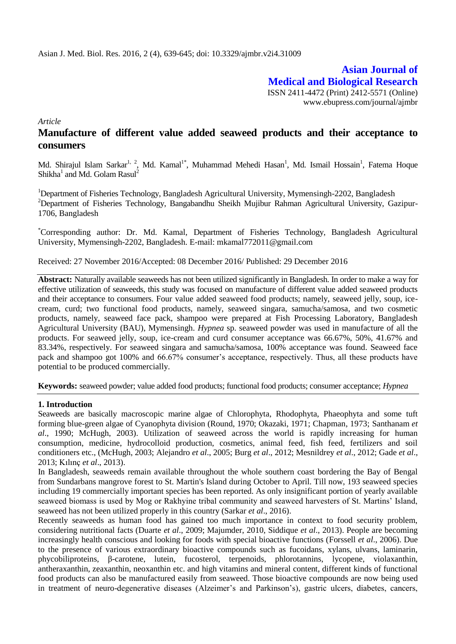**Asian Journal of Medical and Biological Research** ISSN 2411-4472 (Print) 2412-5571 (Online) www.ebupress.com/journal/ajmbr

*Article*

# **Manufacture of different value added seaweed products and their acceptance to consumers**

Md. Shirajul Islam Sarkar<sup>1, 2</sup>, Md. Kamal<sup>1\*</sup>, Muhammad Mehedi Hasan<sup>1</sup>, Md. Ismail Hossain<sup>1</sup>, Fatema Hoque Shikha $^1$  and Md. Golam Rasul $^2$ 

<sup>1</sup>Department of Fisheries Technology, Bangladesh Agricultural University, Mymensingh-2202, Bangladesh <sup>2</sup>Department of Fisheries Technology, Bangabandhu Sheikh Mujibur Rahman Agricultural University, Gazipur-1706, Bangladesh

\*Corresponding author: Dr. Md. Kamal, Department of Fisheries Technology, Bangladesh Agricultural University, Mymensingh-2202, Bangladesh. E-mail: mkamal772011@gmail.com

Received: 27 November 2016/Accepted: 08 December 2016/ Published: 29 December 2016

**Abstract:** Naturally available seaweeds has not been utilized significantly in Bangladesh. In order to make a way for effective utilization of seaweeds, this study was focused on manufacture of different value added seaweed products and their acceptance to consumers. Four value added seaweed food products; namely, seaweed jelly, soup, icecream, curd; two functional food products, namely, seaweed singara, samucha/samosa, and two cosmetic products, namely, seaweed face pack, shampoo were prepared at Fish Processing Laboratory, Bangladesh Agricultural University (BAU), Mymensingh. *Hypnea* sp. seaweed powder was used in manufacture of all the products. For seaweed jelly, soup, ice-cream and curd consumer acceptance was 66.67%, 50%, 41.67% and 83.34%, respectively. For seaweed singara and samucha/samosa, 100% acceptance was found. Seaweed face pack and shampoo got 100% and 66.67% consumer's acceptance, respectively. Thus, all these products have potential to be produced commercially.

**Keywords:** seaweed powder; value added food products; functional food products; consumer acceptance; *Hypnea*

## **1. Introduction**

Seaweeds are basically macroscopic marine algae of Chlorophyta, Rhodophyta, Phaeophyta and some tuft forming blue-green algae of Cyanophyta division (Round, 1970; Okazaki, 1971; Chapman, 1973; Santhanam *et al*., 1990; McHugh, 2003). Utilization of seaweed across the world is rapidly increasing for human consumption, medicine, hydrocolloid production, cosmetics, animal feed, fish feed, fertilizers and soil conditioners etc., (McHugh, 2003; Alejandro *et al*., 2005; Burg *et al*., 2012; Mesnildrey *et al*., 2012; Gade *et al*., 2013; Kılınç *et al*., 2013).

In Bangladesh, seaweeds remain available throughout the whole southern coast bordering the Bay of Bengal from Sundarbans mangrove forest to St. Martin's Island during October to April. Till now, 193 seaweed species including 19 commercially important species has been reported. As only insignificant portion of yearly available seaweed biomass is used by Mog or Rakhyine tribal community and seaweed harvesters of St. Martins' Island, seaweed has not been utilized properly in this country (Sarkar *et al*., 2016).

Recently seaweeds as human food has gained too much importance in context to food security problem, considering nutritional facts (Duarte *et al*., 2009; Majumder, 2010, Siddique *et al*., 2013). People are becoming increasingly health conscious and looking for foods with special bioactive functions (Forssell *et al*., 2006). Due to the presence of various extraordinary bioactive compounds such as fucoidans, xylans, ulvans, laminarin, phycobiliproteins, β-carotene, lutein, fucosterol, terpenoids, phlorotannins, lycopene, violaxanthin, antheraxanthin, zeaxanthin, neoxanthin etc. and high vitamins and mineral content, different kinds of functional food products can also be manufactured easily from seaweed. Those bioactive compounds are now being used in treatment of neuro-degenerative diseases (Alzeimer's and Parkinson's), gastric ulcers, diabetes, cancers,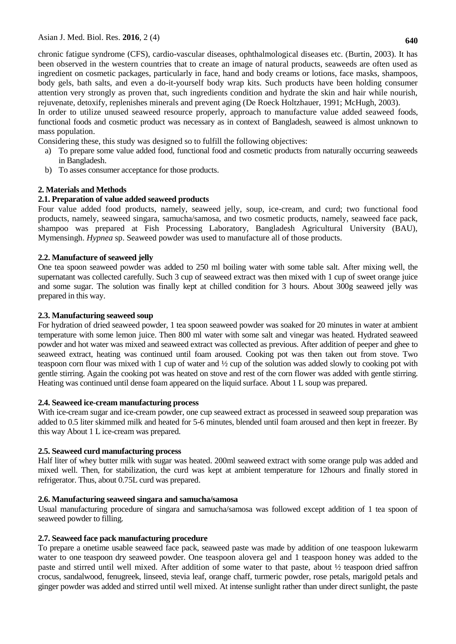chronic fatigue syndrome (CFS), cardio-vascular diseases, ophthalmological diseases etc. (Burtin, 2003). It has been observed in the western countries that to create an image of natural products, seaweeds are often used as ingredient on cosmetic packages, particularly in face, hand and body creams or lotions, face masks, shampoos, body gels, bath salts, and even a do-it-yourself body wrap kits. Such products have been holding consumer attention very strongly as proven that, such ingredients condition and hydrate the skin and hair while nourish, rejuvenate, detoxify, replenishes minerals and prevent aging (De Roeck Holtzhauer, 1991; McHugh, 2003).

In order to utilize unused seaweed resource properly, approach to manufacture value added seaweed foods, functional foods and cosmetic product was necessary as in context of Bangladesh, seaweed is almost unknown to mass population.

Considering these, this study was designed so to fulfill the following objectives:

- a) To prepare some value added food, functional food and cosmetic products from naturally occurring seaweeds in Bangladesh.
- b) To asses consumer acceptance for those products.

## **2. Materials and Methods**

## **2.1. Preparation of value added seaweed products**

Four value added food products, namely, seaweed jelly, soup, ice-cream, and curd; two functional food products, namely, seaweed singara, samucha/samosa, and two cosmetic products, namely, seaweed face pack, shampoo was prepared at Fish Processing Laboratory, Bangladesh Agricultural University (BAU), Mymensingh. *Hypnea* sp. Seaweed powder was used to manufacture all of those products.

## **2.2. Manufacture of seaweed jelly**

One tea spoon seaweed powder was added to 250 ml boiling water with some table salt. After mixing well, the supernatant was collected carefully. Such 3 cup of seaweed extract was then mixed with 1 cup of sweet orange juice and some sugar. The solution was finally kept at chilled condition for 3 hours. About 300g seaweed jelly was prepared in this way.

## **2.3. Manufacturing seaweed soup**

For hydration of dried seaweed powder, 1 tea spoon seaweed powder was soaked for 20 minutes in water at ambient temperature with some lemon juice. Then 800 ml water with some salt and vinegar was heated. Hydrated seaweed powder and hot water was mixed and seaweed extract was collected as previous. After addition of peeper and ghee to seaweed extract, heating was continued until foam aroused. Cooking pot was then taken out from stove. Two teaspoon corn flour was mixed with 1 cup of water and ½ cup of the solution was added slowly to cooking pot with gentle stirring. Again the cooking pot was heated on stove and rest of the corn flower was added with gentle stirring. Heating was continued until dense foam appeared on the liquid surface. About 1 L soup was prepared.

## **2.4. Seaweed ice-cream manufacturing process**

With ice-cream sugar and ice-cream powder, one cup seaweed extract as processed in seaweed soup preparation was added to 0.5 liter skimmed milk and heated for 5-6 minutes, blended until foam aroused and then kept in freezer. By this way About 1 L ice-cream was prepared.

## **2.5. Seaweed curd manufacturing process**

Half liter of whey butter milk with sugar was heated. 200ml seaweed extract with some orange pulp was added and mixed well. Then, for stabilization, the curd was kept at ambient temperature for 12hours and finally stored in refrigerator. Thus, about 0.75L curd was prepared.

## **2.6. Manufacturing seaweed singara and samucha/samosa**

Usual manufacturing procedure of singara and samucha/samosa was followed except addition of 1 tea spoon of seaweed powder to filling.

## **2.7. Seaweed face pack manufacturing procedure**

To prepare a onetime usable seaweed face pack, seaweed paste was made by addition of one teaspoon lukewarm water to one teaspoon dry seaweed powder. One teaspoon alovera gel and 1 teaspoon honey was added to the paste and stirred until well mixed. After addition of some water to that paste, about ½ teaspoon dried saffron crocus, sandalwood, fenugreek, linseed, stevia leaf, orange chaff, turmeric powder, rose petals, marigold petals and ginger powder was added and stirred until well mixed. At intense sunlight rather than under direct sunlight, the paste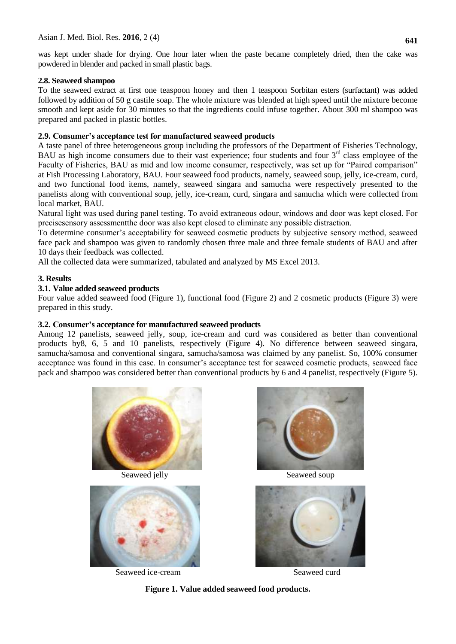was kept under shade for drying. One hour later when the paste became completely dried, then the cake was powdered in blender and packed in small plastic bags.

## **2.8. Seaweed shampoo**

To the seaweed extract at first one teaspoon honey and then 1 teaspoon Sorbitan esters (surfactant) was added followed by addition of 50 g castile soap. The whole mixture was blended at high speed until the mixture become smooth and kept aside for 30 minutes so that the ingredients could infuse together. About 300 ml shampoo was prepared and packed in plastic bottles.

## **2.9. Consumer's acceptance test for manufactured seaweed products**

A taste panel of three heterogeneous group including the professors of the Department of Fisheries Technology, BAU as high income consumers due to their vast experience; four students and four  $3<sup>rd</sup>$  class employee of the Faculty of Fisheries, BAU as mid and low income consumer, respectively, was set up for "Paired comparison" at Fish Processing Laboratory, BAU. Four seaweed food products, namely, seaweed soup, jelly, ice-cream, curd, and two functional food items, namely, seaweed singara and samucha were respectively presented to the panelists along with conventional soup, jelly, ice-cream, curd, singara and samucha which were collected from local market, BAU.

Natural light was used during panel testing. To avoid extraneous odour, windows and door was kept closed. For precisesensory assessmentthe door was also kept closed to eliminate any possible distraction.

To determine consumer's acceptability for seaweed cosmetic products by subjective sensory method, seaweed face pack and shampoo was given to randomly chosen three male and three female students of BAU and after 10 days their feedback was collected.

All the collected data were summarized, tabulated and analyzed by MS Excel 2013.

## **3. Results**

## **3.1. Value added seaweed products**

Four value added seaweed food (Figure 1), functional food (Figure 2) and 2 cosmetic products (Figure 3) were prepared in this study.

## **3.2. Consumer's acceptance for manufactured seaweed products**

Among 12 panelists, seaweed jelly, soup, ice-cream and curd was considered as better than conventional products by8, 6, 5 and 10 panelists, respectively (Figure 4). No difference between seaweed singara, samucha/samosa and conventional singara, samucha/samosa was claimed by any panelist. So, 100% consumer acceptance was found in this case. In consumer's acceptance test for seaweed cosmetic products, seaweed face pack and shampoo was considered better than conventional products by 6 and 4 panelist, respectively (Figure 5).





Seaweed ice-cream Seaweed curd



Seaweed jelly Seaweed soup



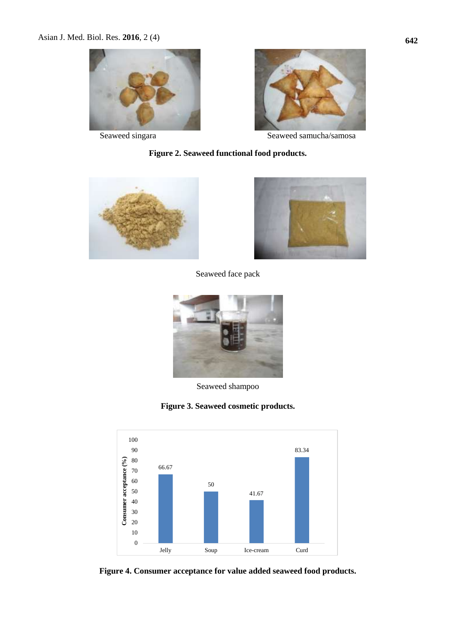



Seaweed singara Seaweed samucha/samosa

## **Figure 2. Seaweed functional food products.**





Seaweed face pack



Seaweed shampoo

**Figure 3. Seaweed cosmetic products.**



**Figure 4. Consumer acceptance for value added seaweed food products.**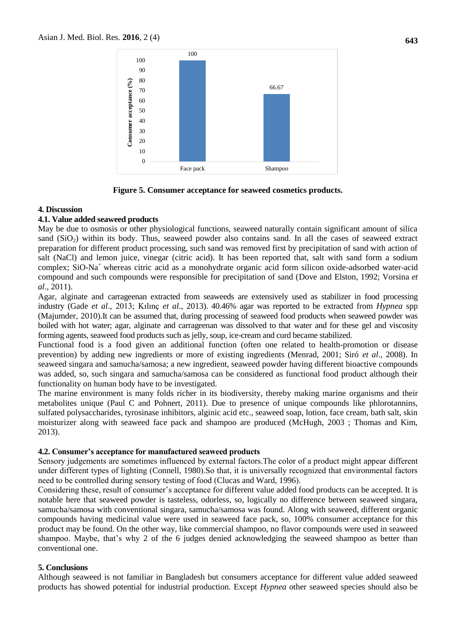

**Figure 5. Consumer acceptance for seaweed cosmetics products.**

#### **4. Discussion**

#### **4.1. Value added seaweed products**

May be due to osmosis or other physiological functions, seaweed naturally contain significant amount of silica sand  $(SiO<sub>2</sub>)$  within its body. Thus, seaweed powder also contains sand. In all the cases of seaweed extract preparation for different product processing, such sand was removed first by precipitation of sand with action of salt (NaCl) and lemon juice, vinegar (citric acid). It has been reported that, salt with sand form a sodium complex; SiO-Na<sup>+</sup>whereas citric acid as a monohydrate organic acid form silicon oxide-adsorbed water-acid compound and such compounds were responsible for precipitation of sand (Dove and Elston, 1992; Vorsina *et al*., 2011).

Agar, alginate and carrageenan extracted from seaweeds are extensively used as stabilizer in food processing industry (Gade *et al*., 2013; Kılınç *et al*., 2013). 40.46% agar was reported to be extracted from *Hypnea* spp (Majumder, 2010).It can be assumed that, during processing of seaweed food products when seaweed powder was boiled with hot water; agar, alginate and carrageenan was dissolved to that water and for these gel and viscosity forming agents, seaweed food products such as jelly, soup, ice-cream and curd became stabilized.

Functional food is a [food](https://en.wikipedia.org/wiki/Food) given an additional [function](https://en.wiktionary.org/wiki/function) (often one related to health-promotion or disease prevention) by adding new ingredients or more of existing ingredients (Menrad, 2001; Siró *et al*., 2008). In seaweed singara and samucha/samosa; a new ingredient, seaweed powder having different bioactive compounds was added, so, such singara and samucha/samosa can be considered as functional food product although their functionality on human body have to be investigated.

The marine environment is many folds richer in its biodiversity, thereby making marine organisms and their metabolites unique (Paul C and Pohnert, 2011). Due to presence of unique compounds like phlorotannins, sulfated polysaccharides, tyrosinase inhibitors, alginic acid etc., seaweed soap, lotion, face cream, bath salt, skin moisturizer along with seaweed face pack and shampoo are produced (McHugh, 2003 ; Thomas and Kim, 2013).

#### **4.2. Consumer's acceptance for manufactured seaweed products**

Sensory judgements are sometimes influenced by external factors.The color of a product might appear different under different types of lighting (Connell, 1980).So that, it is universally recognized that environmental factors need to be controlled during sensory testing of food (Clucas and Ward, 1996).

Considering these, result of consumer's acceptance for different value added food products can be accepted. It is notable here that seaweed powder is tasteless, odorless, so, logically no difference between seaweed singara, samucha/samosa with conventional singara, samucha/samosa was found. Along with seaweed, different organic compounds having medicinal value were used in seaweed face pack, so, 100% consumer acceptance for this product may be found. On the other way, like commercial shampoo, no flavor compounds were used in seaweed shampoo. Maybe, that's why 2 of the 6 judges denied acknowledging the seaweed shampoo as better than conventional one.

## **5. Conclusions**

Although seaweed is not familiar in Bangladesh but consumers acceptance for different value added seaweed products has showed potential for industrial production. Except *Hypnea* other seaweed species should also be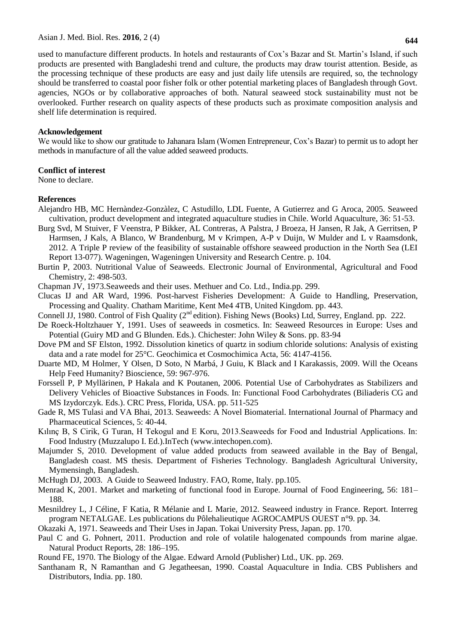**644**

used to manufacture different products. In hotels and restaurants of Cox's Bazar and St. Martin's Island, if such products are presented with Bangladeshi trend and culture, the products may draw tourist attention. Beside, as the processing technique of these products are easy and just daily life utensils are required, so, the technology should be transferred to coastal poor fisher folk or other potential marketing places of Bangladesh through Govt. agencies, NGOs or by collaborative approaches of both. Natural seaweed stock sustainability must not be overlooked. Further research on quality aspects of these products such as proximate composition analysis and shelf life determination is required.

#### **Acknowledgement**

We would like to show our gratitude to Jahanara Islam (Women Entrepreneur, Cox's Bazar) to permit us to adopt her methods in manufacture of all the value added seaweed products.

## **Conflict of interest**

None to declare.

## **References**

- Alejandro HB, MC Hernàndez-Gonzàlez, C Astudillo, LDL Fuente, A Gutierrez and G Aroca, 2005. Seaweed cultivation, product development and integrated aquaculture studies in Chile. World Aquaculture, 36: 51-53.
- Burg Svd, M Stuiver, F Veenstra, P Bikker, AL Contreras, A Palstra, J Broeza, H Jansen, R Jak, A Gerritsen, P Harmsen, J Kals, A Blanco, W Brandenburg, M v Krimpen, A-P v Duijn, W Mulder and L v Raamsdonk, 2012. A Triple P review of the feasibility of sustainable offshore seaweed production in the North Sea (LEI Report 13-077). Wageningen, Wageningen University and Research Centre. p. 104.
- Burtin P, 2003. Nutritional Value of Seaweeds. Electronic Journal of Environmental, Agricultural and Food Chemistry, 2: 498-503.
- Chapman JV, 1973.Seaweeds and their uses. Methuer and Co. Ltd., India.pp. 299.
- Clucas IJ and AR Ward, 1996. Post-harvest Fisheries Development: A Guide to Handling, Preservation, Processing and Quality. Chatham Maritime, Kent Me4 4TB, United Kingdom. pp. 443.
- Connell JJ, 1980. Control of Fish Quality (2<sup>nd</sup> edition). Fishing News (Books) Ltd, Surrey, England. pp. 222.
- De Roeck-Holtzhauer Y, 1991. Uses of seaweeds in cosmetics. In: Seaweed Resources in Europe: Uses and Potential (Guiry MD and G Blunden. Eds.). Chichester: John Wiley & Sons. pp. 83-94
- Dove PM and SF Elston, 1992. Dissolution kinetics of quartz in sodium chloride solutions: Analysis of existing data and a rate model for 25°C. Geochimica et Cosmochimica Acta, [56:](http://www.sciencedirect.com/science/journal/00167037/56/12) 4147-4156.
- Duarte MD, M Holmer, Y Olsen, D Soto, N Marbá, J Guiu, K Black and I Karakassis, 2009. Will the Oceans Help Feed Humanity? Bioscience, 59: 967-976.
- Forssell P, P Myllärinen, P Hakala and K Poutanen, 2006. Potential Use of Carbohydrates as Stabilizers and Delivery Vehicles of Bioactive Substances in Foods. In: Functional Food Carbohydrates (Biliaderis CG and MS Izydorczyk. Eds.). CRC Press, Florida, USA. pp. 511-525
- Gade R, MS Tulasi and VA Bhai, 2013. Seaweeds: A Novel Biomaterial. International Journal of Pharmacy and Pharmaceutical Sciences, 5: 40-44.
- Kılınç B, S Cirik, G Turan, H Tekogul and E Koru, 2013.Seaweeds for Food and Industrial Applications. In: Food Industry (Muzzalupo I. Ed.).InTech [\(www.intechopen.com\)](http://www.intechopen.com/).
- Majumder S, 2010. Development of value added products from seaweed available in the Bay of Bengal, Bangladesh coast. MS thesis. Department of Fisheries Technology. Bangladesh Agricultural University, Mymensingh, Bangladesh.
- McHugh DJ, 2003. A Guide to Seaweed Industry. FAO, Rome, Italy. pp.105.
- Menrad K, 2001. Market and marketing of functional food in Europe. Journal of Food Engineering, 56: 181– 188.
- Mesnildrey L, J Céline, F Katia, R Mélanie and L Marie, 2012. Seaweed industry in France. Report. Interreg program NETALGAE. Les publications du Pôlehalieutique AGROCAMPUS OUEST n°9. pp. 34.
- Okazaki A, 1971. Seaweeds and Their Uses in Japan. Tokai University Press, Japan. pp. 170.
- Paul C and G. Pohnert, 2011. Production and role of volatile halogenated compounds from marine algae. Natural Product Reports, 28: 186–195.
- Round FE, 1970. The Biology of the Algae. Edward Arnold (Publisher) Ltd., UK. pp. 269.
- Santhanam R, N Ramanthan and G Jegatheesan, 1990. Coastal Aquaculture in India. CBS Publishers and Distributors, India. pp. 180.